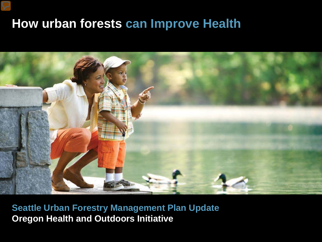### **How urban forests can Improve Health**

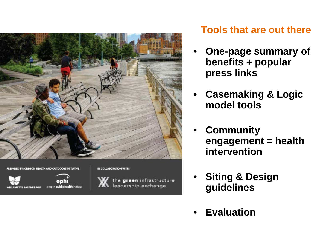

PREPARED BY: OREGON HEALTH AND OUTDOORS INITIATIVE



#### IN COLLABORATION WITH:



the green infrastructure leadership exchange

### **Tools that are out there**

- **One-page summary of benefits + popular press links**
- **Casemaking & Logic model tools**
- **Community engagement = health intervention**
- **Siting & Design guidelines**
- **Evaluation**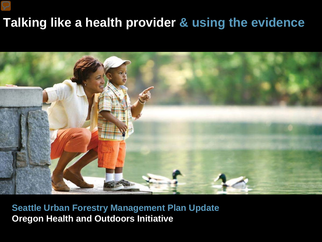## **Talking like a health provider & using the evidence**

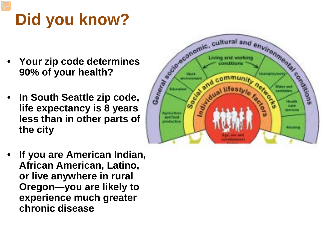# **Did you know?**

- **90% of your health?**
- **In South Seattle zip code, life expectancy is 8 years less than in other parts of the city**



• **If you are American Indian, African American, Latino, or live anywhere in rural Oregon—you are likely to experience much greater chronic disease**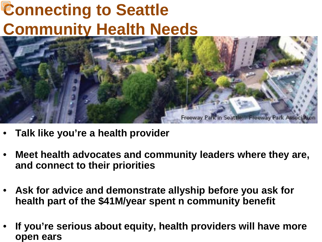## **Connecting to Seattle Community Health Needs**



- **Talk like you're a health provider**
- **Meet health advocates and community leaders where they are, and connect to their priorities**
- **Ask for advice and demonstrate allyship before you ask for health part of the \$41M/year spent n community benefit**
- **If you're serious about equity, health providers will have more open ears**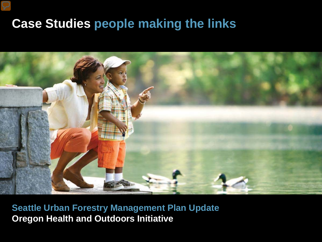## **Case Studies people making the links**

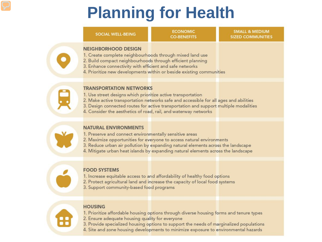## **Planning for Health**

#### **SOCIAL WELL-BEING**

**ECONOMIC CO-BENEFITS** 

**SMALL & MEDIUM SIZED COMMUNITIES** 

#### **NEIGHBORHOOD DESIGN**

- 1. Create complete neighbourhoods through mixed land use
- 2. Build compact neighbourhoods through efficient planning
- 3. Enhance connectivity with efficient and safe networks
- 4. Prioritize new developments within or beside existing communities

### **TRANSPORTATION NETWORKS**

- 1. Use street designs which prioritize active transportation
- 2. Make active transportation networks safe and accessible for all ages and abilities
- 3. Design connected routes for active transportation and support multiple modalities
- 4. Consider the aesthetics of road, rail, and waterway networks



#### **NATURAL ENVIRONMENTS**

- 1. Preserve and connect environmentally sensitive areas
- 2. Maximize opportunities for everyone to access natural environments
- 3. Reduce urban air pollution by expanding natural elements across the landscape
- 4. Mitigate urban heat islands by expanding natural elements across the landscape

### **FOOD SYSTEMS**

- 1. Increase equitable access to and affordability of healthy food options
- 2. Protect agricultural land and increase the capacity of local food systems
- 3. Support community-based food programs

### **HOUSING**

- 1. Prioritize affordable housing options through diverse housing forms and tenure types
- 2. Ensure adequate housing quality for everyone
- 3. Provide specialized housing options to support the needs of marginalized populations
- 4. Site and zone housing developments to minimize exposure to environmental hazards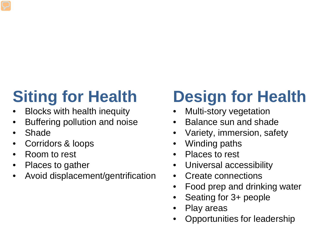# **Siting for Health**

- Blocks with health inequity
- Buffering pollution and noise
- Shade
- Corridors & loops
- Room to rest
- Places to gather
- Avoid displacement/gentrification

# **Design for Health**

- Multi-story vegetation
- Balance sun and shade
- Variety, immersion, safety
- Winding paths
- Places to rest
- Universal accessibility
- Create connections
- Food prep and drinking water
- Seating for 3+ people
- Play areas
- Opportunities for leadership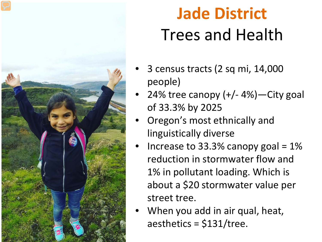

## **Jade District** Trees and Health

- 3 census tracts (2 sq mi, 14,000 people)
- 24% tree canopy  $(+/- 4%)$ —City goal of 33.3% by 2025
- Oregon's most ethnically and linguistically diverse
- Increase to 33.3% canopy goal =  $1\%$ reduction in stormwater flow and 1% in pollutant loading. Which is about a \$20 stormwater value per street tree.
- When you add in air qual, heat, aesthetics = \$131/tree.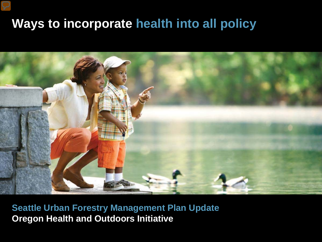## **Ways to incorporate health into all policy**

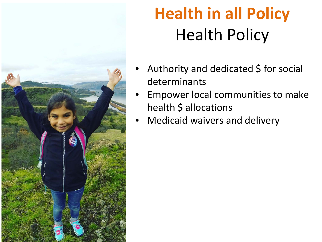

# **Health in all Policy** Health Policy

- Authority and dedicated  $\frac{1}{2}$  for social determinants
- Empower local communities to make health \$ allocations
- Medicaid waivers and delivery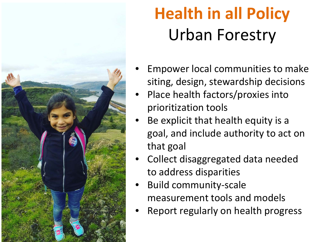

# **Health in all Policy** Urban Forestry

- Empower local communities to make siting, design, stewardship decisions
- Place health factors/proxies into prioritization tools
- Be explicit that health equity is a goal, and include authority to act on that goal
- Collect disaggregated data needed to address disparities
- Build community-scale measurement tools and models
- Report regularly on health progress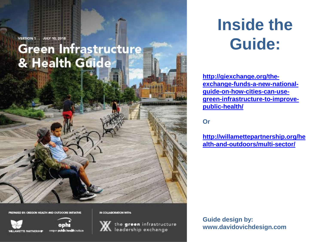VERSION 1 . **JULY 10, 2018** 

### Green Infrastructure & Health Guides

BY: OREGON HEALTH AND OUTDOORS INITIATIVE



oregon public health institute

IN COLLABORATION WITH



the green infrastructure **XX** leadership exchange

**Inside the Guide:**

**http://giexchange.org/theexchange-funds-a-new-nationalguide-on-how-cities-can-use[green-infrastructure-to-improve](http://giexchange.org/the-exchange-funds-a-new-national-guide-on-how-cities-can-use-green-infrastructure-to-improve-public-health/)public-health/**

**Or**

**[http://willamettepartnership.org/he](http://willamettepartnership.org/health-and-outdoors/multi-sector/) alth-and-outdoors/multi-sector/**

**Guide design by: www.davidovichdesign.com**